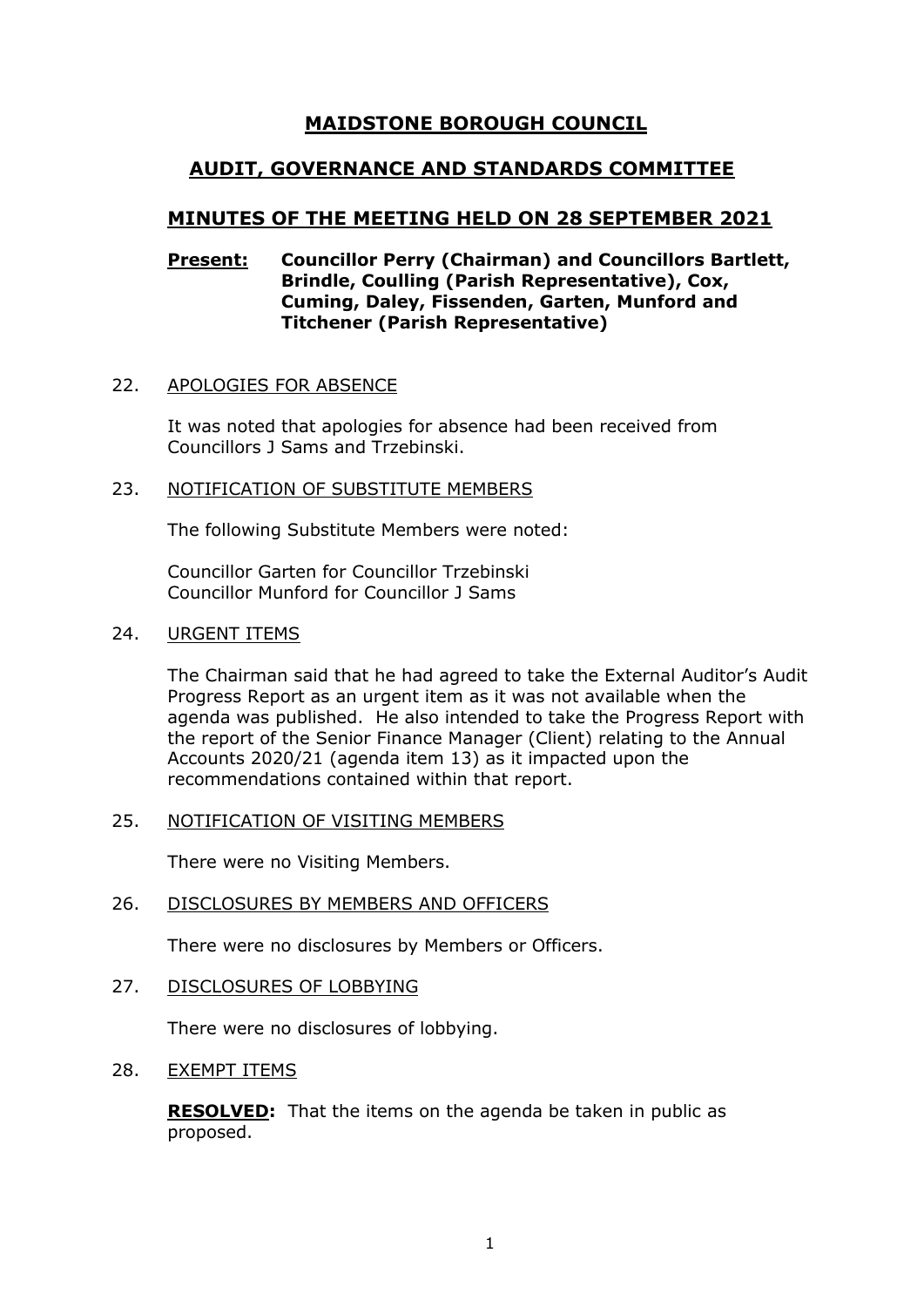# **MAIDSTONE BOROUGH COUNCIL**

# **AUDIT, GOVERNANCE AND STANDARDS COMMITTEE**

# **MINUTES OF THE MEETING HELD ON 28 SEPTEMBER 2021**

### **Present: Councillor Perry (Chairman) and Councillors Bartlett, Brindle, Coulling (Parish Representative), Cox, Cuming, Daley, Fissenden, Garten, Munford and Titchener (Parish Representative)**

#### 22. APOLOGIES FOR ABSENCE

It was noted that apologies for absence had been received from Councillors J Sams and Trzebinski.

#### 23. NOTIFICATION OF SUBSTITUTE MEMBERS

The following Substitute Members were noted:

Councillor Garten for Councillor Trzebinski Councillor Munford for Councillor J Sams

#### 24. URGENT ITEMS

The Chairman said that he had agreed to take the External Auditor's Audit Progress Report as an urgent item as it was not available when the agenda was published. He also intended to take the Progress Report with the report of the Senior Finance Manager (Client) relating to the Annual Accounts 2020/21 (agenda item 13) as it impacted upon the recommendations contained within that report.

#### 25. NOTIFICATION OF VISITING MEMBERS

There were no Visiting Members.

#### 26. DISCLOSURES BY MEMBERS AND OFFICERS

There were no disclosures by Members or Officers.

27. DISCLOSURES OF LOBBYING

There were no disclosures of lobbying.

### 28. EXEMPT ITEMS

**RESOLVED:** That the items on the agenda be taken in public as proposed.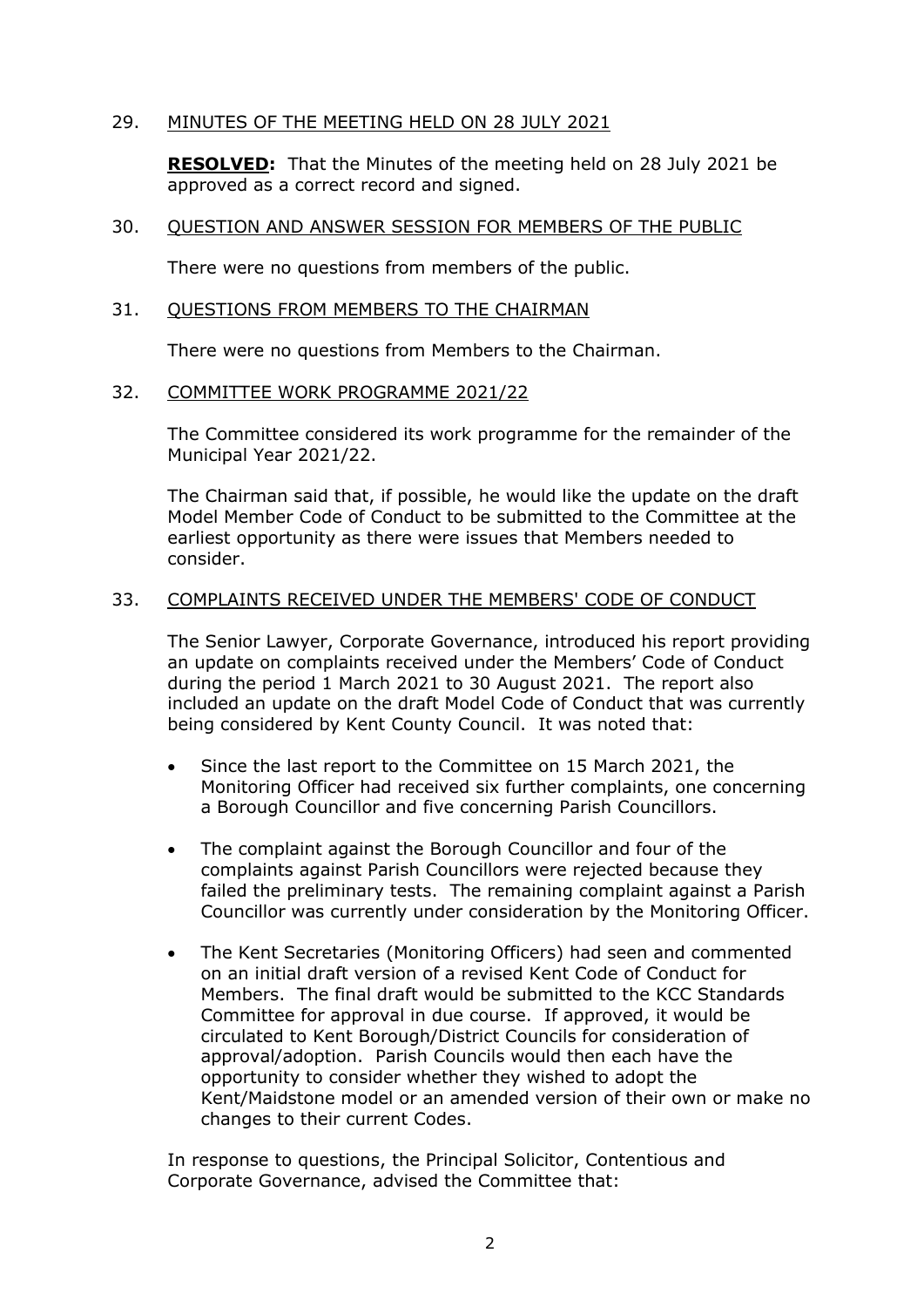## 29. MINUTES OF THE MEETING HELD ON 28 JULY 2021

**RESOLVED:** That the Minutes of the meeting held on 28 July 2021 be approved as a correct record and signed.

#### 30. QUESTION AND ANSWER SESSION FOR MEMBERS OF THE PUBLIC

There were no questions from members of the public.

#### 31. QUESTIONS FROM MEMBERS TO THE CHAIRMAN

There were no questions from Members to the Chairman.

#### 32. COMMITTEE WORK PROGRAMME 2021/22

The Committee considered its work programme for the remainder of the Municipal Year 2021/22.

The Chairman said that, if possible, he would like the update on the draft Model Member Code of Conduct to be submitted to the Committee at the earliest opportunity as there were issues that Members needed to consider.

#### 33. COMPLAINTS RECEIVED UNDER THE MEMBERS' CODE OF CONDUCT

The Senior Lawyer, Corporate Governance, introduced his report providing an update on complaints received under the Members' Code of Conduct during the period 1 March 2021 to 30 August 2021. The report also included an update on the draft Model Code of Conduct that was currently being considered by Kent County Council. It was noted that:

- Since the last report to the Committee on 15 March 2021, the Monitoring Officer had received six further complaints, one concerning a Borough Councillor and five concerning Parish Councillors.
- The complaint against the Borough Councillor and four of the complaints against Parish Councillors were rejected because they failed the preliminary tests. The remaining complaint against a Parish Councillor was currently under consideration by the Monitoring Officer.
- The Kent Secretaries (Monitoring Officers) had seen and commented on an initial draft version of a revised Kent Code of Conduct for Members. The final draft would be submitted to the KCC Standards Committee for approval in due course. If approved, it would be circulated to Kent Borough/District Councils for consideration of approval/adoption. Parish Councils would then each have the opportunity to consider whether they wished to adopt the Kent/Maidstone model or an amended version of their own or make no changes to their current Codes.

In response to questions, the Principal Solicitor, Contentious and Corporate Governance, advised the Committee that: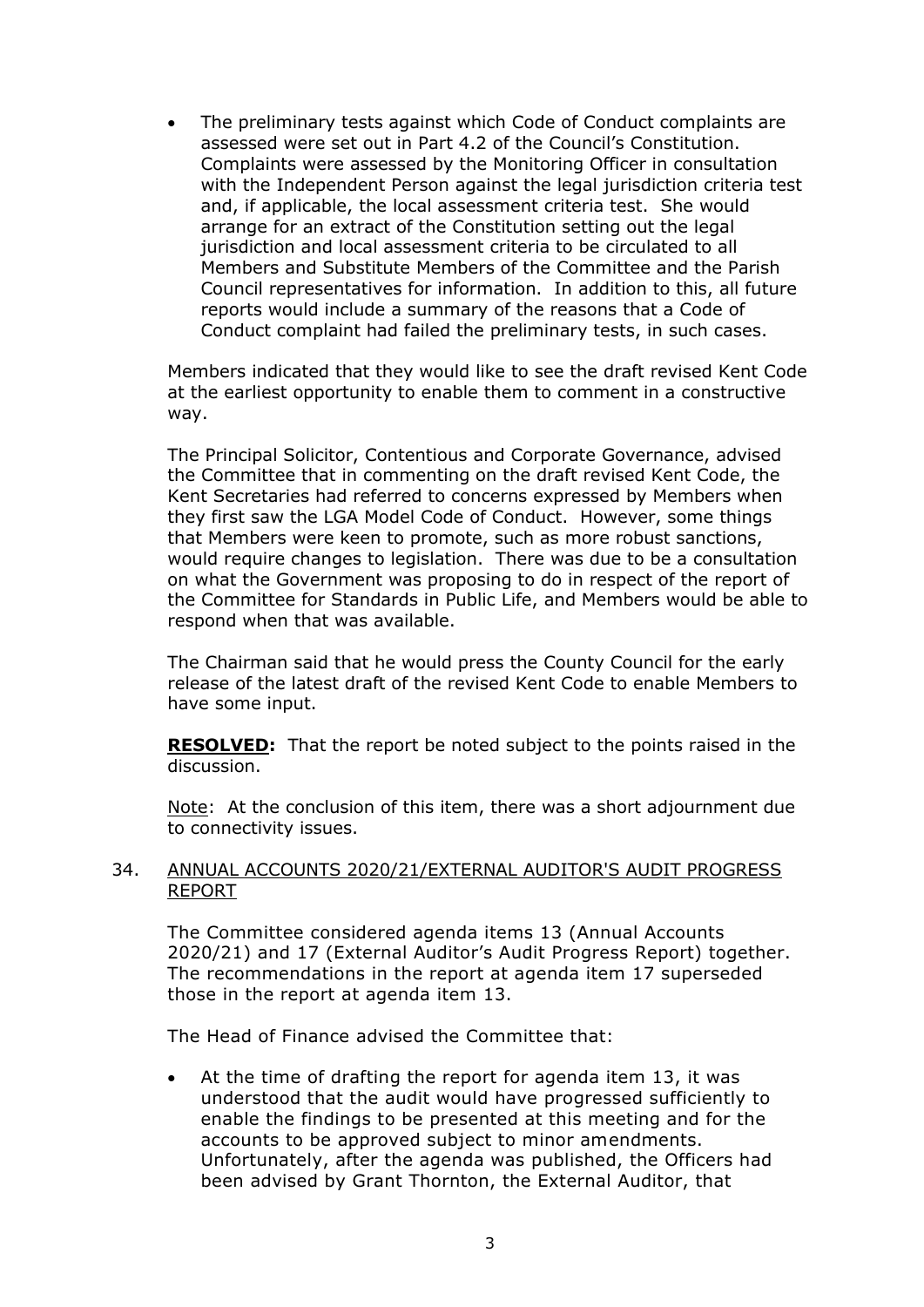• The preliminary tests against which Code of Conduct complaints are assessed were set out in Part 4.2 of the Council's Constitution. Complaints were assessed by the Monitoring Officer in consultation with the Independent Person against the legal jurisdiction criteria test and, if applicable, the local assessment criteria test. She would arrange for an extract of the Constitution setting out the legal jurisdiction and local assessment criteria to be circulated to all Members and Substitute Members of the Committee and the Parish Council representatives for information. In addition to this, all future reports would include a summary of the reasons that a Code of Conduct complaint had failed the preliminary tests, in such cases.

Members indicated that they would like to see the draft revised Kent Code at the earliest opportunity to enable them to comment in a constructive way.

The Principal Solicitor, Contentious and Corporate Governance, advised the Committee that in commenting on the draft revised Kent Code, the Kent Secretaries had referred to concerns expressed by Members when they first saw the LGA Model Code of Conduct. However, some things that Members were keen to promote, such as more robust sanctions, would require changes to legislation. There was due to be a consultation on what the Government was proposing to do in respect of the report of the Committee for Standards in Public Life, and Members would be able to respond when that was available.

The Chairman said that he would press the County Council for the early release of the latest draft of the revised Kent Code to enable Members to have some input.

**RESOLVED:** That the report be noted subject to the points raised in the discussion.

Note: At the conclusion of this item, there was a short adjournment due to connectivity issues.

#### 34. ANNUAL ACCOUNTS 2020/21/EXTERNAL AUDITOR'S AUDIT PROGRESS REPORT

The Committee considered agenda items 13 (Annual Accounts 2020/21) and 17 (External Auditor's Audit Progress Report) together. The recommendations in the report at agenda item 17 superseded those in the report at agenda item 13.

The Head of Finance advised the Committee that:

At the time of drafting the report for agenda item 13, it was understood that the audit would have progressed sufficiently to enable the findings to be presented at this meeting and for the accounts to be approved subject to minor amendments. Unfortunately, after the agenda was published, the Officers had been advised by Grant Thornton, the External Auditor, that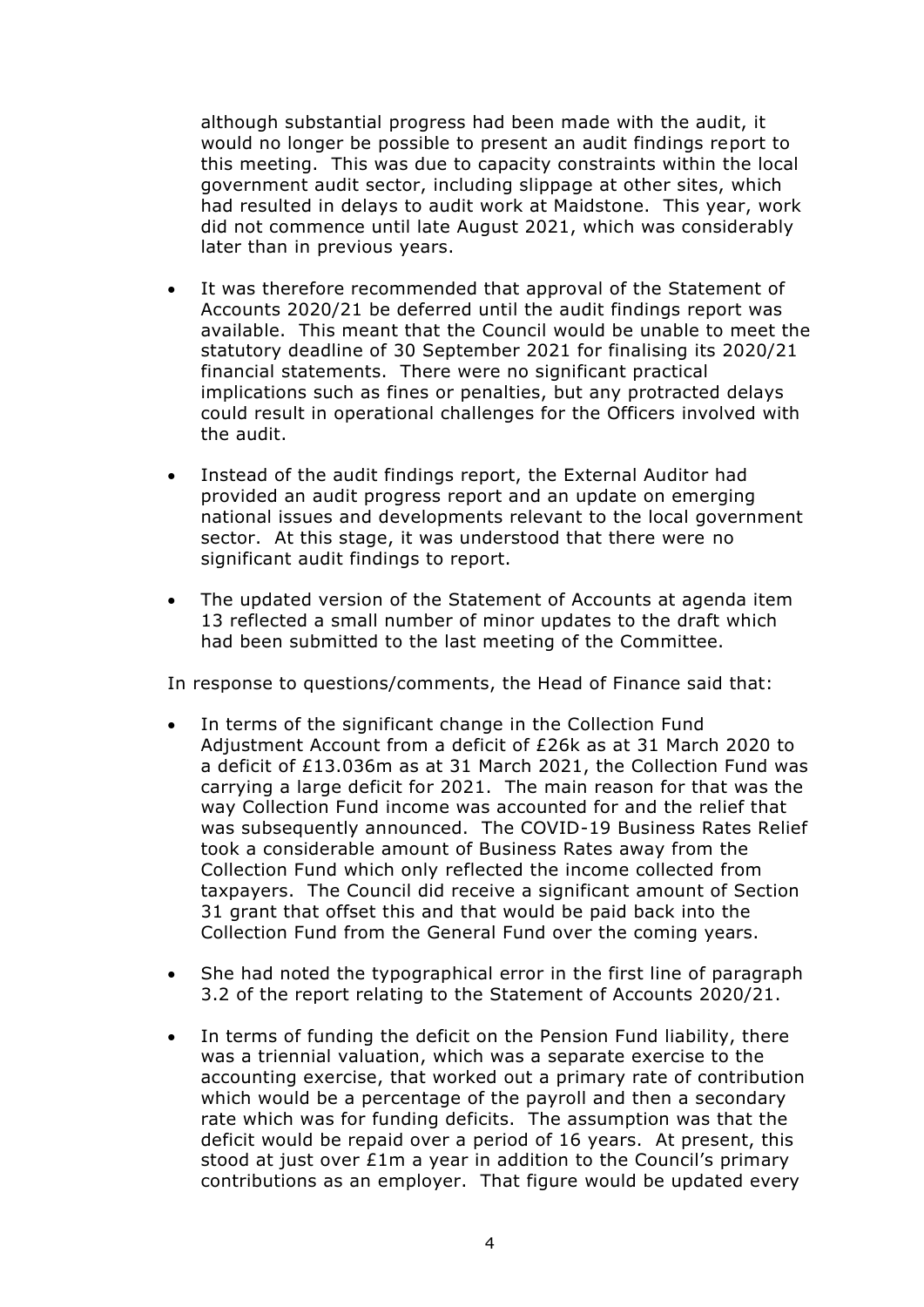although substantial progress had been made with the audit, it would no longer be possible to present an audit findings report to this meeting. This was due to capacity constraints within the local government audit sector, including slippage at other sites, which had resulted in delays to audit work at Maidstone. This year, work did not commence until late August 2021, which was considerably later than in previous years.

- It was therefore recommended that approval of the Statement of Accounts 2020/21 be deferred until the audit findings report was available. This meant that the Council would be unable to meet the statutory deadline of 30 September 2021 for finalising its 2020/21 financial statements. There were no significant practical implications such as fines or penalties, but any protracted delays could result in operational challenges for the Officers involved with the audit.
- Instead of the audit findings report, the External Auditor had provided an audit progress report and an update on emerging national issues and developments relevant to the local government sector. At this stage, it was understood that there were no significant audit findings to report.
- The updated version of the Statement of Accounts at agenda item 13 reflected a small number of minor updates to the draft which had been submitted to the last meeting of the Committee.

In response to questions/comments, the Head of Finance said that:

- In terms of the significant change in the Collection Fund Adjustment Account from a deficit of £26k as at 31 March 2020 to a deficit of £13.036m as at 31 March 2021, the Collection Fund was carrying a large deficit for 2021. The main reason for that was the way Collection Fund income was accounted for and the relief that was subsequently announced. The COVID-19 Business Rates Relief took a considerable amount of Business Rates away from the Collection Fund which only reflected the income collected from taxpayers. The Council did receive a significant amount of Section 31 grant that offset this and that would be paid back into the Collection Fund from the General Fund over the coming years.
- She had noted the typographical error in the first line of paragraph 3.2 of the report relating to the Statement of Accounts 2020/21.
- In terms of funding the deficit on the Pension Fund liability, there was a triennial valuation, which was a separate exercise to the accounting exercise, that worked out a primary rate of contribution which would be a percentage of the payroll and then a secondary rate which was for funding deficits. The assumption was that the deficit would be repaid over a period of 16 years. At present, this stood at just over £1m a year in addition to the Council's primary contributions as an employer. That figure would be updated every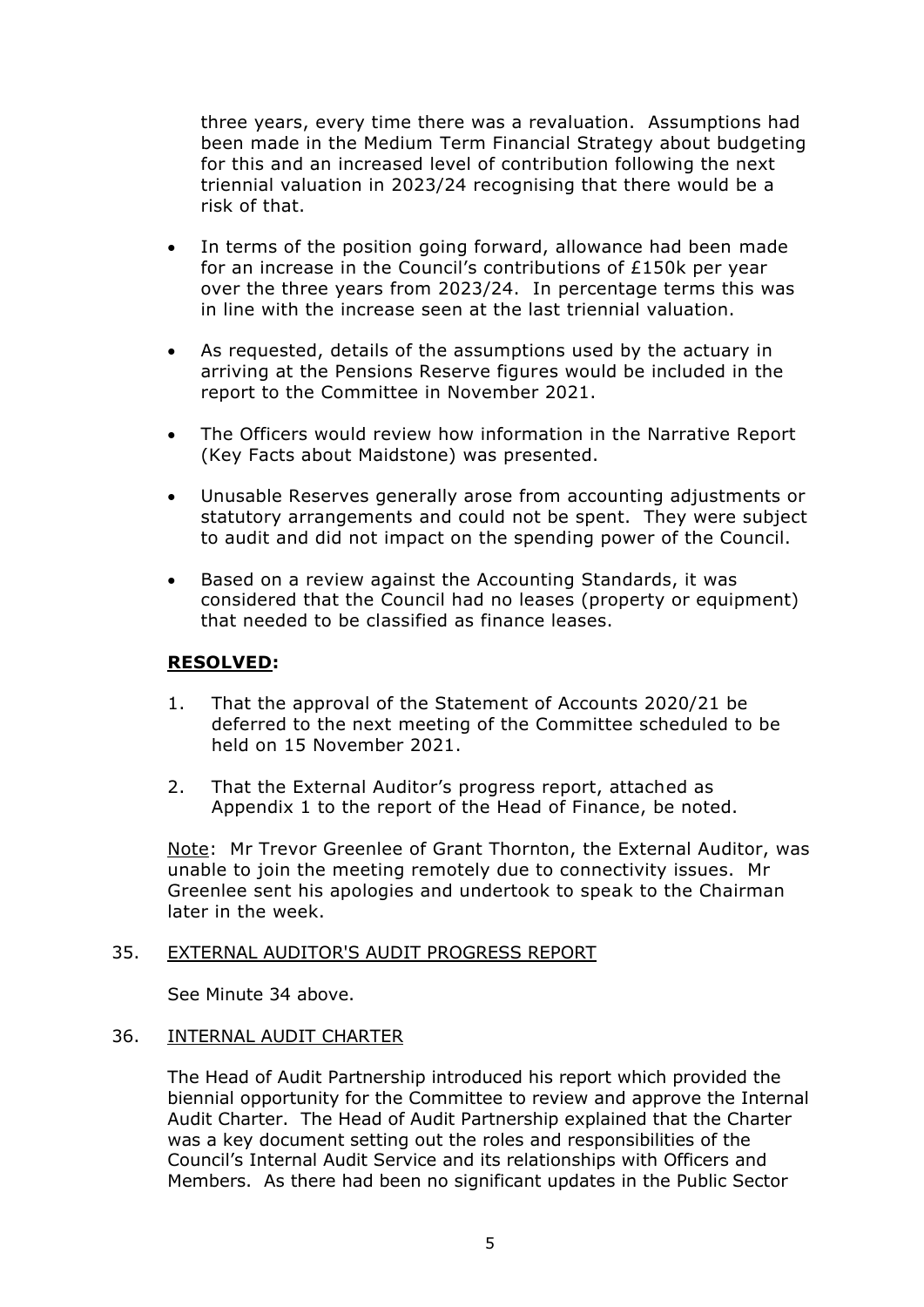three years, every time there was a revaluation. Assumptions had been made in the Medium Term Financial Strategy about budgeting for this and an increased level of contribution following the next triennial valuation in 2023/24 recognising that there would be a risk of that.

- In terms of the position going forward, allowance had been made for an increase in the Council's contributions of £150k per year over the three years from 2023/24. In percentage terms this was in line with the increase seen at the last triennial valuation.
- As requested, details of the assumptions used by the actuary in arriving at the Pensions Reserve figures would be included in the report to the Committee in November 2021.
- The Officers would review how information in the Narrative Report (Key Facts about Maidstone) was presented.
- Unusable Reserves generally arose from accounting adjustments or statutory arrangements and could not be spent. They were subject to audit and did not impact on the spending power of the Council.
- Based on a review against the Accounting Standards, it was considered that the Council had no leases (property or equipment) that needed to be classified as finance leases.

## **RESOLVED:**

- 1. That the approval of the Statement of Accounts 2020/21 be deferred to the next meeting of the Committee scheduled to be held on 15 November 2021.
- 2. That the External Auditor's progress report, attached as Appendix 1 to the report of the Head of Finance, be noted.

Note: Mr Trevor Greenlee of Grant Thornton, the External Auditor, was unable to join the meeting remotely due to connectivity issues. Mr Greenlee sent his apologies and undertook to speak to the Chairman later in the week.

#### 35. EXTERNAL AUDITOR'S AUDIT PROGRESS REPORT

See Minute 34 above.

#### 36. INTERNAL AUDIT CHARTER

The Head of Audit Partnership introduced his report which provided the biennial opportunity for the Committee to review and approve the Internal Audit Charter. The Head of Audit Partnership explained that the Charter was a key document setting out the roles and responsibilities of the Council's Internal Audit Service and its relationships with Officers and Members. As there had been no significant updates in the Public Sector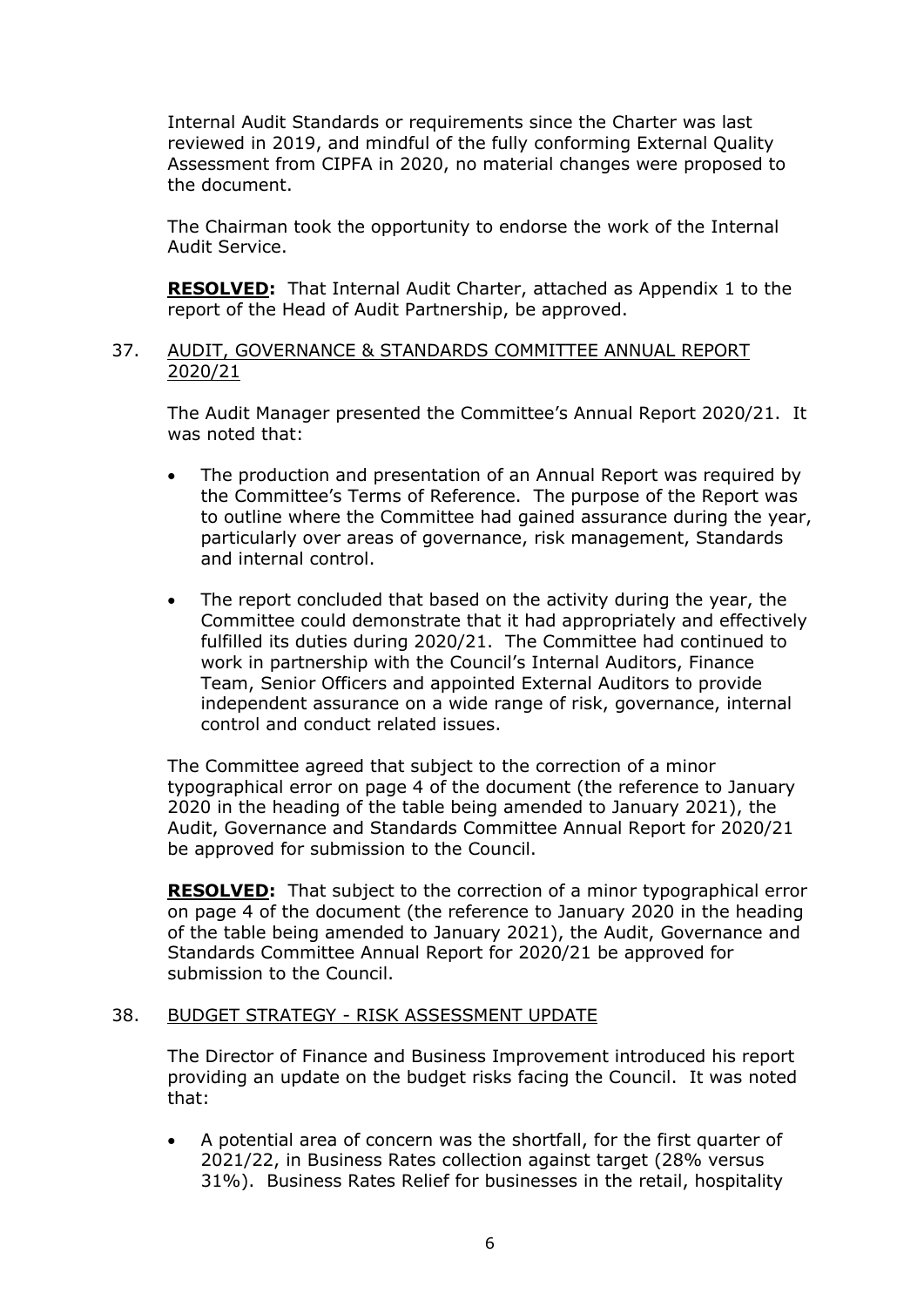Internal Audit Standards or requirements since the Charter was last reviewed in 2019, and mindful of the fully conforming External Quality Assessment from CIPFA in 2020, no material changes were proposed to the document.

The Chairman took the opportunity to endorse the work of the Internal Audit Service.

**RESOLVED:** That Internal Audit Charter, attached as Appendix 1 to the report of the Head of Audit Partnership, be approved.

#### 37. AUDIT, GOVERNANCE & STANDARDS COMMITTEE ANNUAL REPORT 2020/21

The Audit Manager presented the Committee's Annual Report 2020/21. It was noted that:

- The production and presentation of an Annual Report was required by the Committee's Terms of Reference. The purpose of the Report was to outline where the Committee had gained assurance during the year, particularly over areas of governance, risk management, Standards and internal control.
- The report concluded that based on the activity during the year, the Committee could demonstrate that it had appropriately and effectively fulfilled its duties during 2020/21. The Committee had continued to work in partnership with the Council's Internal Auditors, Finance Team, Senior Officers and appointed External Auditors to provide independent assurance on a wide range of risk, governance, internal control and conduct related issues.

The Committee agreed that subject to the correction of a minor typographical error on page 4 of the document (the reference to January 2020 in the heading of the table being amended to January 2021), the Audit, Governance and Standards Committee Annual Report for 2020/21 be approved for submission to the Council.

**RESOLVED:** That subject to the correction of a minor typographical error on page 4 of the document (the reference to January 2020 in the heading of the table being amended to January 2021), the Audit, Governance and Standards Committee Annual Report for 2020/21 be approved for submission to the Council.

#### 38. BUDGET STRATEGY - RISK ASSESSMENT UPDATE

The Director of Finance and Business Improvement introduced his report providing an update on the budget risks facing the Council. It was noted that:

• A potential area of concern was the shortfall, for the first quarter of 2021/22, in Business Rates collection against target (28% versus 31%). Business Rates Relief for businesses in the retail, hospitality